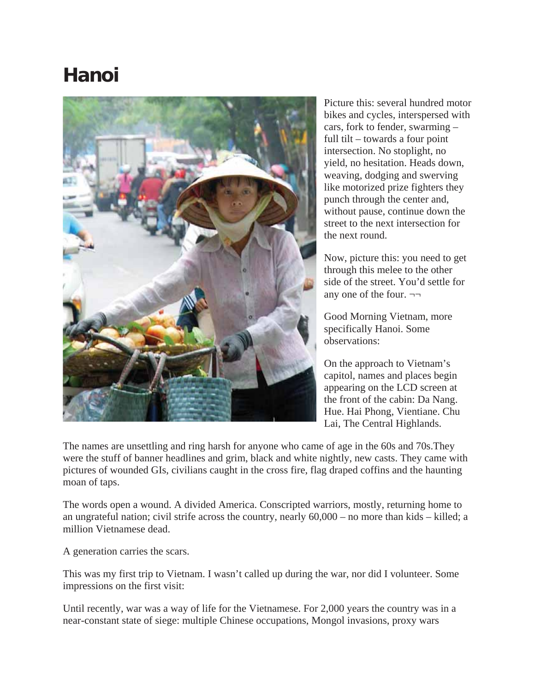## **Hanoi**



Picture this: several hundred motor bikes and cycles, interspersed with cars, fork to fender, swarming – full tilt – towards a four point intersection. No stoplight, no yield, no hesitation. Heads down, weaving, dodging and swerving like motorized prize fighters they punch through the center and, without pause, continue down the street to the next intersection for the next round.

Now, picture this: you need to get through this melee to the other side of the street. You'd settle for any one of the four.  $\neg\neg$ 

Good Morning Vietnam, more specifically Hanoi. Some observations:

On the approach to Vietnam's capitol, names and places begin appearing on the LCD screen at the front of the cabin: Da Nang. Hue. Hai Phong, Vientiane. Chu Lai, The Central Highlands.

The names are unsettling and ring harsh for anyone who came of age in the 60s and 70s.They were the stuff of banner headlines and grim, black and white nightly, new casts. They came with pictures of wounded GIs, civilians caught in the cross fire, flag draped coffins and the haunting moan of taps.

The words open a wound. A divided America. Conscripted warriors, mostly, returning home to an ungrateful nation; civil strife across the country, nearly 60,000 – no more than kids – killed; a million Vietnamese dead.

A generation carries the scars.

This was my first trip to Vietnam. I wasn't called up during the war, nor did I volunteer. Some impressions on the first visit:

Until recently, war was a way of life for the Vietnamese. For 2,000 years the country was in a near-constant state of siege: multiple Chinese occupations, Mongol invasions, proxy wars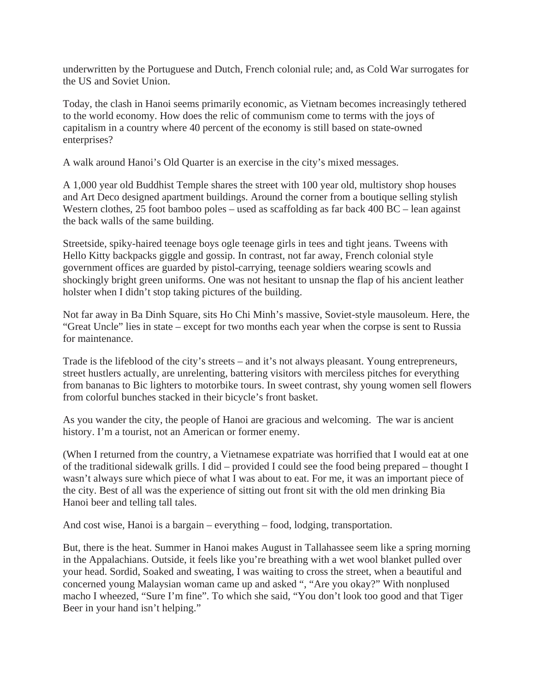underwritten by the Portuguese and Dutch, French colonial rule; and, as Cold War surrogates for the US and Soviet Union.

Today, the clash in Hanoi seems primarily economic, as Vietnam becomes increasingly tethered to the world economy. How does the relic of communism come to terms with the joys of capitalism in a country where 40 percent of the economy is still based on state-owned enterprises?

A walk around Hanoi's Old Quarter is an exercise in the city's mixed messages.

A 1,000 year old Buddhist Temple shares the street with 100 year old, multistory shop houses and Art Deco designed apartment buildings. Around the corner from a boutique selling stylish Western clothes, 25 foot bamboo poles – used as scaffolding as far back 400 BC – lean against the back walls of the same building.

Streetside, spiky-haired teenage boys ogle teenage girls in tees and tight jeans. Tweens with Hello Kitty backpacks giggle and gossip. In contrast, not far away, French colonial style government offices are guarded by pistol-carrying, teenage soldiers wearing scowls and shockingly bright green uniforms. One was not hesitant to unsnap the flap of his ancient leather holster when I didn't stop taking pictures of the building.

Not far away in Ba Dinh Square, sits Ho Chi Minh's massive, Soviet-style mausoleum. Here, the "Great Uncle" lies in state – except for two months each year when the corpse is sent to Russia for maintenance.

Trade is the lifeblood of the city's streets – and it's not always pleasant. Young entrepreneurs, street hustlers actually, are unrelenting, battering visitors with merciless pitches for everything from bananas to Bic lighters to motorbike tours. In sweet contrast, shy young women sell flowers from colorful bunches stacked in their bicycle's front basket.

As you wander the city, the people of Hanoi are gracious and welcoming. The war is ancient history. I'm a tourist, not an American or former enemy.

(When I returned from the country, a Vietnamese expatriate was horrified that I would eat at one of the traditional sidewalk grills. I did – provided I could see the food being prepared – thought I wasn't always sure which piece of what I was about to eat. For me, it was an important piece of the city. Best of all was the experience of sitting out front sit with the old men drinking Bia Hanoi beer and telling tall tales.

And cost wise, Hanoi is a bargain – everything – food, lodging, transportation.

But, there is the heat. Summer in Hanoi makes August in Tallahassee seem like a spring morning in the Appalachians. Outside, it feels like you're breathing with a wet wool blanket pulled over your head. Sordid, Soaked and sweating, I was waiting to cross the street, when a beautiful and concerned young Malaysian woman came up and asked ", "Are you okay?" With nonplused macho I wheezed, "Sure I'm fine". To which she said, "You don't look too good and that Tiger Beer in your hand isn't helping."